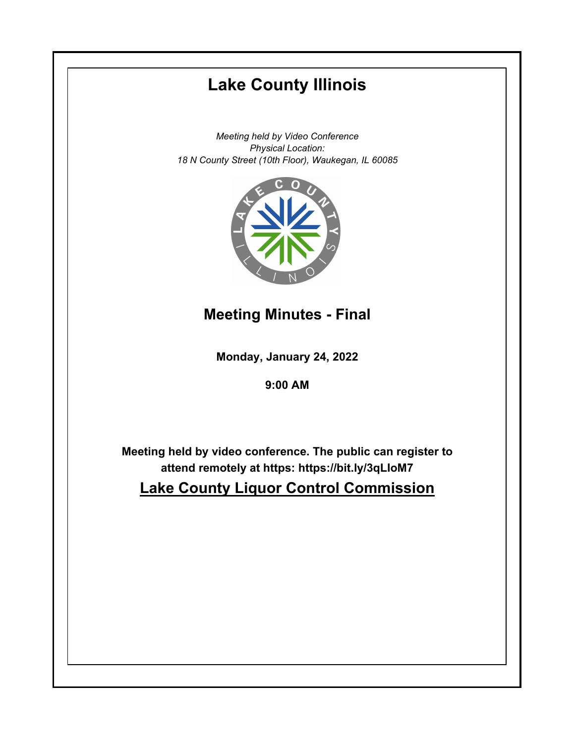# **Monday, January 24, 2022 9:00 AM Lake County Illinois** *Meeting held by Video Conference Physical Location: 18 N County Street (10th Floor), Waukegan, IL 60085* **Meeting held by video conference. The public can register to attend remotely at https: https://bit.ly/3qLIoM7 Lake County Liquor Control Commission Meeting Minutes - Final**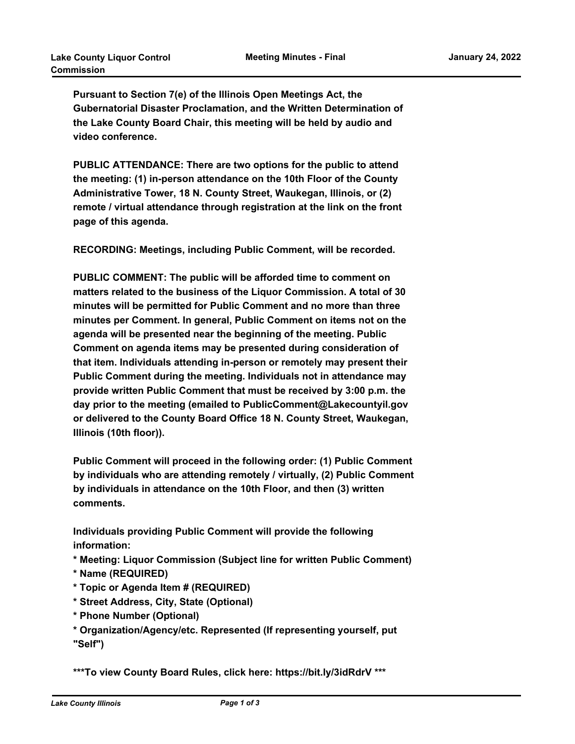**Pursuant to Section 7(e) of the Illinois Open Meetings Act, the Gubernatorial Disaster Proclamation, and the Written Determination of the Lake County Board Chair, this meeting will be held by audio and video conference.** 

**PUBLIC ATTENDANCE: There are two options for the public to attend the meeting: (1) in-person attendance on the 10th Floor of the County Administrative Tower, 18 N. County Street, Waukegan, Illinois, or (2) remote / virtual attendance through registration at the link on the front page of this agenda.**

**RECORDING: Meetings, including Public Comment, will be recorded.** 

**PUBLIC COMMENT: The public will be afforded time to comment on matters related to the business of the Liquor Commission. A total of 30 minutes will be permitted for Public Comment and no more than three minutes per Comment. In general, Public Comment on items not on the agenda will be presented near the beginning of the meeting. Public Comment on agenda items may be presented during consideration of that item. Individuals attending in-person or remotely may present their Public Comment during the meeting. Individuals not in attendance may provide written Public Comment that must be received by 3:00 p.m. the day prior to the meeting (emailed to PublicComment@Lakecountyil.gov or delivered to the County Board Office 18 N. County Street, Waukegan, Illinois (10th floor)).**

**Public Comment will proceed in the following order: (1) Public Comment by individuals who are attending remotely / virtually, (2) Public Comment by individuals in attendance on the 10th Floor, and then (3) written comments.**

**Individuals providing Public Comment will provide the following information:**

**\* Meeting: Liquor Commission (Subject line for written Public Comment)**

- **\* Name (REQUIRED)**
- **\* Topic or Agenda Item # (REQUIRED)**
- **\* Street Address, City, State (Optional)**
- **\* Phone Number (Optional)**
- **\* Organization/Agency/etc. Represented (If representing yourself, put "Self")**

**\*\*\*To view County Board Rules, click here: https://bit.ly/3idRdrV \*\*\***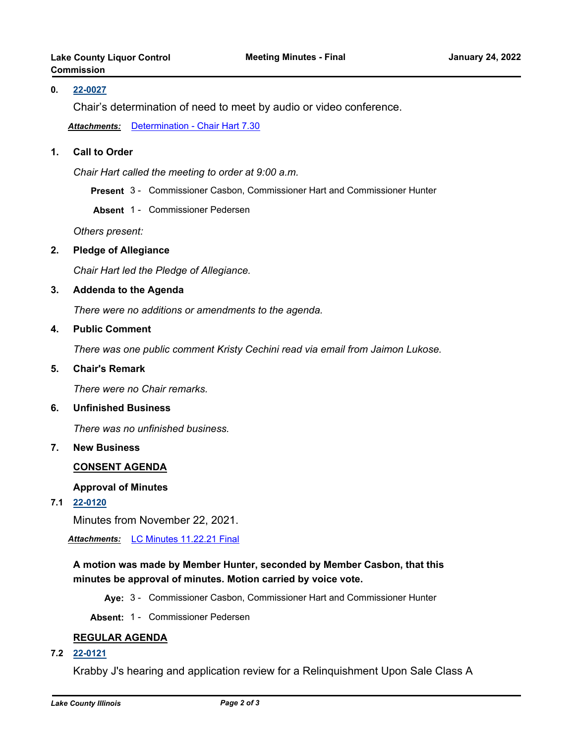## **0. [22-0027](http://lakecounty.legistar.com/gateway.aspx?m=l&id=25809)**

Chair's determination of need to meet by audio or video conference.

*Attachments:* [Determination - Chair Hart 7.30](http://lakecounty.legistar.com/gateway.aspx?M=F&ID=6b1ae6d4-0a14-4019-b032-d4b548d15e17.pdf)

## **1. Call to Order**

*Chair Hart called the meeting to order at 9:00 a.m.*

**Present** 3 - Commissioner Casbon, Commissioner Hart and Commissioner Hunter

**Absent** 1 - Commissioner Pedersen

*Others present:*

### **2. Pledge of Allegiance**

*Chair Hart led the Pledge of Allegiance.*

#### **3. Addenda to the Agenda**

*There were no additions or amendments to the agenda.*

#### **4. Public Comment**

*There was one public comment Kristy Cechini read via email from Jaimon Lukose.*

#### **5. Chair's Remark**

*There were no Chair remarks.*

#### **6. Unfinished Business**

*There was no unfinished business.*

## **7. New Business**

### **CONSENT AGENDA**

#### **Approval of Minutes**

**7.1 [22-0120](http://lakecounty.legistar.com/gateway.aspx?m=l&id=25901)**

Minutes from November 22, 2021.

*Attachments:* [LC Minutes 11.22.21 Final](http://lakecounty.legistar.com/gateway.aspx?M=F&ID=9fe1b786-784e-43b3-a893-9dc2846436a8.pdf)

# **A motion was made by Member Hunter, seconded by Member Casbon, that this minutes be approval of minutes. Motion carried by voice vote.**

**Aye:** 3 - Commissioner Casbon, Commissioner Hart and Commissioner Hunter

**Absent:** 1 - Commissioner Pedersen

### **REGULAR AGENDA**

**7.2 [22-0121](http://lakecounty.legistar.com/gateway.aspx?m=l&id=25902)**

Krabby J's hearing and application review for a Relinquishment Upon Sale Class A